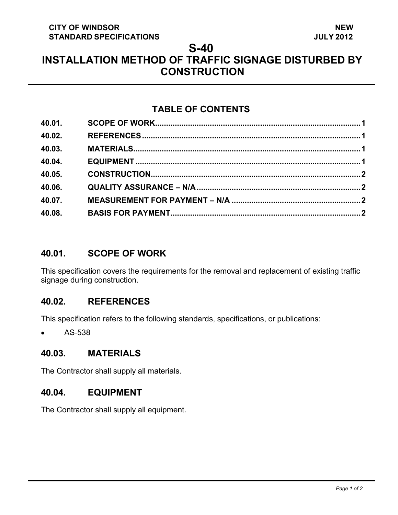#### **CITY OF WINDSOR STANDARD SPECIFICATIONS**

#### **S-40**

# **INSTALLATION METHOD OF TRAFFIC SIGNAGE DISTURBED BY CONSTRUCTION**

# **TABLE OF CONTENTS**

| 40.01. |  |
|--------|--|
| 40.02. |  |
| 40.03. |  |
| 40.04. |  |
| 40.05. |  |
| 40.06. |  |
| 40.07. |  |
| 40.08. |  |
|        |  |

#### <span id="page-0-3"></span>**40.01. SCOPE OF WORK**

This specification covers the requirements for the removal and replacement of existing traffic signage during construction.

# <span id="page-0-0"></span>**40.02. REFERENCES**

This specification refers to the following standards, specifications, or publications:

AS-538

# <span id="page-0-1"></span>**40.03. MATERIALS**

The Contractor shall supply all materials.

# <span id="page-0-2"></span>**40.04. EQUIPMENT**

The Contractor shall supply all equipment.